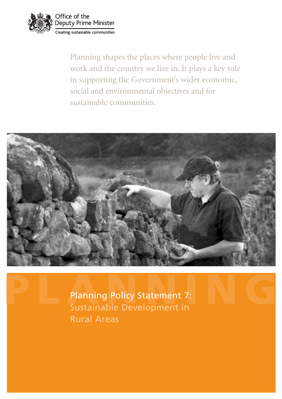

Planning shapes the places where people live and work and the country we live in. It plays a key role in supporting the Government's wider economic, social and environmental objectives and for sustainable communities.



**Planning Policy Statement 7:** Planning Policy Statement 7: Sustainable Development in Rural Areas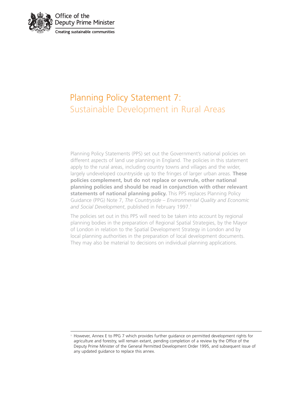

## Planning Policy Statement 7: Sustainable Development in Rural Areas

Planning Policy Statements (PPS) set out the Government's national policies on different aspects of land use planning in England. The policies in this statement apply to the rural areas, including country towns and villages and the wider, largely undeveloped countryside up to the fringes of larger urban areas. **These policies complement, but do not replace or overrule, other national planning policies and should be read in conjunction with other relevant statements of national planning policy.** This PPS replaces Planning Policy Guidance (PPG) Note 7, *The Countryside – Environmental Quality and Economic* and Social Development, published in February 1997.<sup>1</sup>

The policies set out in this PPS will need to be taken into account by regional planning bodies in the preparation of Regional Spatial Strategies, by the Mayor of London in relation to the Spatial Development Strategy in London and by local planning authorities in the preparation of local development documents. They may also be material to decisions on individual planning applications.

<sup>1</sup> However, Annex E to PPG 7 which provides further guidance on permitted development rights for agriculture and forestry, will remain extant, pending completion of a review by the Office of the Deputy Prime Minister of the General Permitted Development Order 1995, and subsequent issue of any updated guidance to replace this annex.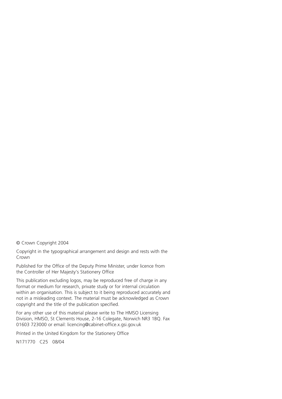© Crown Copyright 2004

Copyright in the typographical arrangement and design and rests with the Crown

Published for the Office of the Deputy Prime Minister, under licence from the Controller of Her Majesty's Stationery Office

This publication excluding logos, may be reproduced free of charge in any format or medium for research, private study or for internal circulation within an organisation. This is subject to it being reproduced accurately and not in a misleading context. The material must be acknowledged as Crown copyright and the title of the publication specified.

For any other use of this material please write to The HMSO Licensing Division, HMSO, St Clements House, 2-16 Colegate, Norwich NR3 1BQ. Fax 01603 723000 or email: licencing@cabinet-office.x.gsi.gov.uk

Printed in the United Kingdom for the Stationery Office

N171770 C25 08/04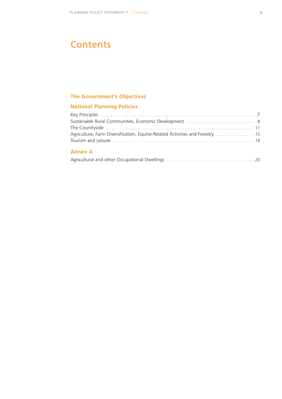## **Contents**

### **The Government's Objectives**

### **National Planning Policies**

| Agriculture, Farm Diversification, Equine-Related Activities and Forestry 15 |  |
|------------------------------------------------------------------------------|--|
|                                                                              |  |
|                                                                              |  |

### **Annex A**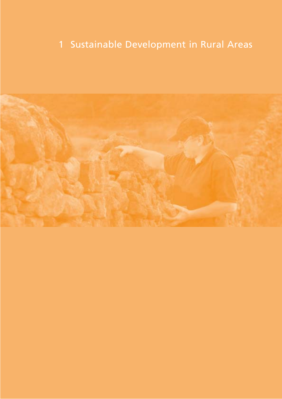# 1 Sustainable Development in Rural Areas

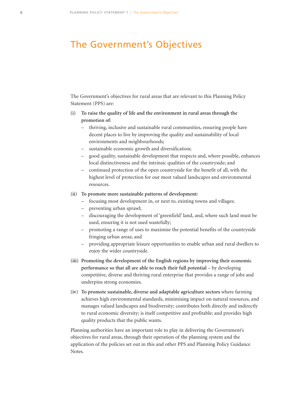## The Government's Objectives

The Government's objectives for rural areas that are relevant to this Planning Policy Statement (PPS) are:

- **(i) To raise the quality of life and the environment in rural areas through the promotion of:**
	- thriving, inclusive and sustainable rural communities, ensuring people have decent places to live by improving the quality and sustainability of local environments and neighbourhoods;
	- sustainable economic growth and diversification;
	- good quality, sustainable development that respects and, where possible, enhances local distinctiveness and the intrinsic qualities of the countryside; and
	- continued protection of the open countryside for the benefit of all, with the highest level of protection for our most valued landscapes and environmental resources.
- **(ii) To promote more sustainable patterns of development:**
	- focusing most development in, or next to, existing towns and villages;
	- preventing urban sprawl;
	- discouraging the development of 'greenfield' land, and, where such land must be used, ensuring it is not used wastefully;
	- promoting a range of uses to maximise the potential benefits of the countryside fringing urban areas; and
	- providing appropriate leisure opportunities to enable urban and rural dwellers to enjoy the wider countryside.
- **(iii) Promoting the development of the English regions by improving their economic performance so that all are able to reach their full potential** – by developing competitive, diverse and thriving rural enterprise that provides a range of jobs and underpins strong economies.
- **(iv) To promote sustainable, diverse and adaptable agriculture sectors** where farming achieves high environmental standards, minimising impact on natural resources, and manages valued landscapes and biodiversity; contributes both directly and indirectly to rural economic diversity; is itself competitive and profitable; and provides high quality products that the public wants.

Planning authorities have an important role to play in delivering the Government's objectives for rural areas, through their operation of the planning system and the application of the policies set out in this and other PPS and Planning Policy Guidance Notes.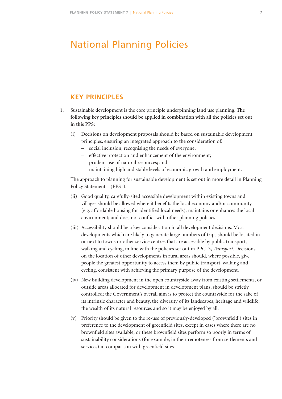## National Planning Policies

## **KEY PRINCIPLES**

- 1. Sustainable development is the core principle underpinning land use planning. **The following key principles should be applied in combination with all the policies set out in this PPS:**
	- (i) Decisions on development proposals should be based on sustainable development principles, ensuring an integrated approach to the consideration of:
		- social inclusion, recognising the needs of everyone;
		- effective protection and enhancement of the environment;
		- prudent use of natural resources; and
		- maintaining high and stable levels of economic growth and employment.

The approach to planning for sustainable development is set out in more detail in Planning Policy Statement 1 (PPS1).

- (ii) Good quality, carefully-sited accessible development within existing towns and villages should be allowed where it benefits the local economy and/or community (e.g. affordable housing for identified local needs); maintains or enhances the local environment; and does not conflict with other planning policies.
- (iii) Accessibility should be a key consideration in all development decisions. Most developments which are likely to generate large numbers of trips should be located in or next to towns or other service centres that are accessible by public transport, walking and cycling, in line with the policies set out in PPG13, *Transport*. Decisions on the location of other developments in rural areas should, where possible, give people the greatest opportunity to access them by public transport, walking and cycling, consistent with achieving the primary purpose of the development.
- (iv) New building development in the open countryside away from existing settlements, or outside areas allocated for development in development plans, should be strictly controlled; the Government's overall aim is to protect the countryside for the sake of its intrinsic character and beauty, the diversity of its landscapes, heritage and wildlife, the wealth of its natural resources and so it may be enjoyed by all.
- (v) Priority should be given to the re-use of previously-developed ('brownfield') sites in preference to the development of greenfield sites, except in cases where there are no brownfield sites available, or these brownfield sites perform so poorly in terms of sustainability considerations (for example, in their remoteness from settlements and services) in comparison with greenfield sites.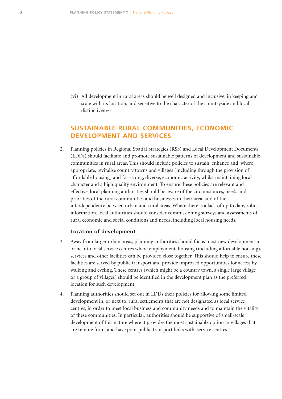(vi) All development in rural areas should be well designed and inclusive, in keeping and scale with its location, and sensitive to the character of the countryside and local distinctiveness.

## **SUSTAINABLE RURAL COMMUNITIES, ECONOMIC DEVELOPMENT AND SERVICES**

2. Planning policies in Regional Spatial Strategies (RSS) and Local Development Documents (LDDs) should facilitate and promote sustainable patterns of development and sustainable communities in rural areas. This should include policies to sustain, enhance and, where appropriate, revitalise country towns and villages (including through the provision of affordable housing) and for strong, diverse, economic activity, whilst maintaining local character and a high quality environment. To ensure these policies are relevant and effective, local planning authorities should be aware of the circumstances, needs and priorities of the rural communities and businesses in their area, and of the interdependence between urban and rural areas. Where there is a lack of up to date, robust information, local authorities should consider commissioning surveys and assessments of rural economic and social conditions and needs, including local housing needs.

#### **Location of development**

- 3. Away from larger urban areas, planning authorities should focus most new development in or near to local service centres where employment, housing (including affordable housing), services and other facilities can be provided close together. This should help to ensure these facilities are served by public transport and provide improved opportunities for access by walking and cycling. These centres (which might be a country town, a single large village or a group of villages) should be identified in the development plan as the preferred location for such development.
- 4. Planning authorities should set out in LDDs their policies for allowing some limited development in, or next to, rural settlements that are not designated as local service centres, in order to meet local business and community needs and to maintain the vitality of these communities. In particular, authorities should be supportive of small-scale development of this nature where it provides the most sustainable option in villages that are remote from, and have poor public transport links with, service centres.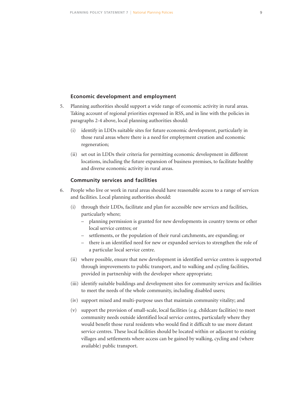#### **Economic development and employment**

- 5. Planning authorities should support a wide range of economic activity in rural areas. Taking account of regional priorities expressed in RSS, and in line with the policies in paragraphs 2-4 above, local planning authorities should:
	- (i) identify in LDDs suitable sites for future economic development, particularly in those rural areas where there is a need for employment creation and economic regeneration;
	- (ii) set out in LDDs their criteria for permitting economic development in different locations, including the future expansion of business premises, to facilitate healthy and diverse economic activity in rural areas.

#### **Community services and facilities**

- 6. People who live or work in rural areas should have reasonable access to a range of services and facilities. Local planning authorities should:
	- (i) through their LDDs, facilitate and plan for accessible new services and facilities, particularly where;
		- planning permission is granted for new developments in country towns or other local service centres; or
		- settlements, or the population of their rural catchments, are expanding; or
		- there is an identified need for new or expanded services to strengthen the role of a particular local service centre.
	- (ii) where possible, ensure that new development in identified service centres is supported through improvements to public transport, and to walking and cycling facilities, provided in partnership with the developer where appropriate;
	- (iii) identify suitable buildings and development sites for community services and facilities to meet the needs of the whole community, including disabled users;
	- (iv) support mixed and multi-purpose uses that maintain community vitality; and
	- (v) support the provision of small-scale, local facilities (e.g. childcare facilities) to meet community needs outside identified local service centres, particularly where they would benefit those rural residents who would find it difficult to use more distant service centres. These local facilities should be located within or adjacent to existing villages and settlements where access can be gained by walking, cycling and (where available) public transport.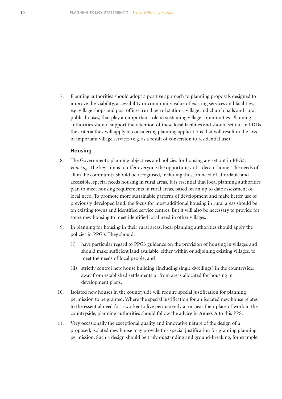7. Planning authorities should adopt a positive approach to planning proposals designed to improve the viability, accessibility or community value of existing services and facilities, e.g. village shops and post offices, rural petrol stations, village and church halls and rural public houses, that play an important role in sustaining village communities. Planning authorities should support the retention of these local facilities and should set out in LDDs the criteria they will apply in considering planning applications that will result in the loss of important village services (e.g. as a result of conversion to residential use).

#### **Housing**

- 8. The Government's planning objectives and policies for housing are set out in PPG3, *Housing*. The key aim is to offer everyone the opportunity of a decent home. The needs of all in the community should be recognised, including those in need of affordable and accessible, special needs housing in rural areas. It is essential that local planning authorities plan to meet housing requirements in rural areas, based on an up to date assessment of local need. To promote more sustainable patterns of development and make better use of previously developed land, the focus for most additional housing in rural areas should be on existing towns and identified service centres. But it will also be necessary to provide for some new housing to meet identified local need in other villages.
- 9. In planning for housing in their rural areas, local planning authorities should apply the policies in PPG3. They should:
	- (i) have particular regard to PPG3 guidance on the provision of housing in villages and should make sufficient land available, either within or adjoining existing villages, to meet the needs of local people; and
	- (ii) strictly control new house building (including single dwellings) in the countryside, away from established settlements or from areas allocated for housing in development plans.
- 10. Isolated new houses in the countryside will require special justification for planning permission to be granted. Where the special justification for an isolated new house relates to the essential need for a worker to live permanently at or near their place of work in the countryside, planning authorities should follow the advice in **Annex A** to this PPS.
- 11. Very occasionally the exceptional quality and innovative nature of the design of a proposed, isolated new house may provide this special justification for granting planning permission. Such a design should be truly outstanding and ground-breaking, for example,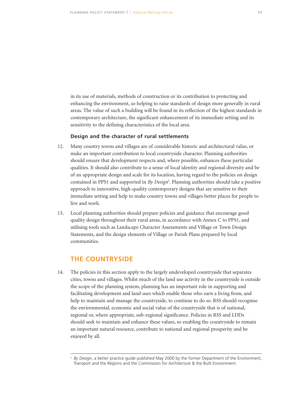in its use of materials, methods of construction or its contribution to protecting and enhancing the environment, so helping to raise standards of design more generally in rural areas. The value of such a building will be found in its reflection of the highest standards in contemporary architecture, the significant enhancement of its immediate setting and its sensitivity to the defining characteristics of the local area.

#### **Design and the character of rural settlements**

- 12. Many country towns and villages are of considerable historic and architectural value, or make an important contribution to local countryside character. Planning authorities should ensure that development respects and, where possible, enhances these particular qualities. It should also contribute to a sense of local identity and regional diversity and be of an appropriate design and scale for its location, having regard to the policies on design contained in PPS1 and supported in *By Design*<sup>2</sup> . Planning authorities should take a positive approach to innovative, high-quality contemporary designs that are sensitive to their immediate setting and help to make country towns and villages better places for people to live and work.
- 13. Local planning authorities should prepare policies and guidance that encourage good quality design throughout their rural areas, in accordance with Annex C to PPS1, and utilising tools such as Landscape Character Assessments and Village or Town Design Statements, and the design elements of Village or Parish Plans prepared by local communities.

## **THE COUNTRYSIDE**

14. The policies in this section apply to the largely undeveloped countryside that separates cities, towns and villages. Whilst much of the land use activity in the countryside is outside the scope of the planning system, planning has an important role in supporting and facilitating development and land uses which enable those who earn a living from, and help to maintain and manage the countryside, to continue to do so. RSS should recognise the environmental, economic and social value of the countryside that is of national, regional or, where appropriate, sub-regional significance. Policies in RSS and LDDs should seek to maintain and enhance these values, so enabling the countryside to remain an important natural resource, contribute to national and regional prosperity and be enjoyed by all.

<sup>2</sup> *By Design*, a better practice guide published May 2000 by the former Department of the Environment, Transport and the Regions and the Commission for Architecture & the Built Environment.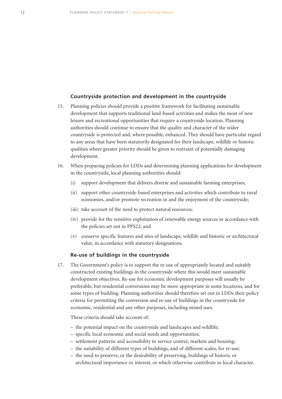#### **Countryside protection and development in the countryside**

- 15. Planning policies should provide a positive framework for facilitating sustainable development that supports traditional land-based activities and makes the most of new leisure and recreational opportunities that require a countryside location. Planning authorities should continue to ensure that the quality and character of the wider countryside is protected and, where possible, enhanced. They should have particular regard to any areas that have been statutorily designated for their landscape, wildlife or historic qualities where greater priority should be given to restraint of potentially damaging development.
- 16. When preparing policies for LDDs and determining planning applications for development in the countryside, local planning authorities should:
	- (i) support development that delivers diverse and sustainable farming enterprises;
	- (ii) support other countryside-based enterprises and activities which contribute to rural economies, and/or promote recreation in and the enjoyment of the countryside;
	- (iii) take account of the need to protect natural resources;
	- (iv) provide for the sensitive exploitation of renewable energy sources in accordance with the policies set out in PPS22; and
	- (v) conserve specific features and sites of landscape, wildlife and historic or architectural value, in accordance with statutory designations.

#### **Re-use of buildings in the countryside**

17. The Government's policy is to support the re-use of appropriately located and suitably constructed existing buildings in the countryside where this would meet sustainable development objectives. Re-use for economic development purposes will usually be preferable, but residential conversions may be more appropriate in some locations, and for some types of building. Planning authorities should therefore set out in LDDs their policy criteria for permitting the conversion and re-use of buildings in the countryside for economic, residential and any other purposes, including mixed uses.

These criteria should take account of:

- the potential impact on the countryside and landscapes and wildlife;
- specific local economic and social needs and opportunities;
- settlement patterns and accessibility to service centres, markets and housing;
- the suitability of different types of buildings, and of different scales, for re-use;
- the need to preserve, or the desirability of preserving, buildings of historic or architectural importance or interest, or which otherwise contribute to local character.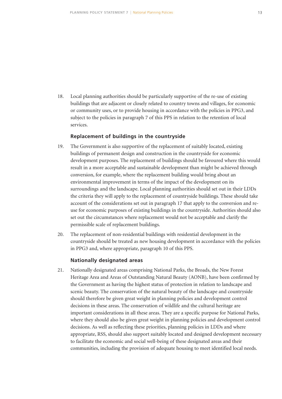18. Local planning authorities should be particularly supportive of the re-use of existing buildings that are adjacent or closely related to country towns and villages, for economic or community uses, or to provide housing in accordance with the policies in PPG3, and subject to the policies in paragraph 7 of this PPS in relation to the retention of local services.

#### **Replacement of buildings in the countryside**

- 19. The Government is also supportive of the replacement of suitably located, existing buildings of permanent design and construction in the countryside for economic development purposes. The replacement of buildings should be favoured where this would result in a more acceptable and sustainable development than might be achieved through conversion, for example, where the replacement building would bring about an environmental improvement in terms of the impact of the development on its surroundings and the landscape. Local planning authorities should set out in their LDDs the criteria they will apply to the replacement of countryside buildings. These should take account of the considerations set out in paragraph 17 that apply to the conversion and reuse for economic purposes of existing buildings in the countryside. Authorities should also set out the circumstances where replacement would not be acceptable and clarify the permissible scale of replacement buildings.
- 20. The replacement of non-residential buildings with residential development in the countryside should be treated as new housing development in accordance with the policies in PPG3 and, where appropriate, paragraph 10 of this PPS.

#### **Nationally designated areas**

21. Nationally designated areas comprising National Parks, the Broads, the New Forest Heritage Area and Areas of Outstanding Natural Beauty (AONB), have been confirmed by the Government as having the highest status of protection in relation to landscape and scenic beauty. The conservation of the natural beauty of the landscape and countryside should therefore be given great weight in planning policies and development control decisions in these areas. The conservation of wildlife and the cultural heritage are important considerations in all these areas. They are a specific purpose for National Parks, where they should also be given great weight in planning policies and development control decisions. As well as reflecting these priorities, planning policies in LDDs and where appropriate, RSS, should also support suitably located and designed development necessary to facilitate the economic and social well-being of these designated areas and their communities, including the provision of adequate housing to meet identified local needs.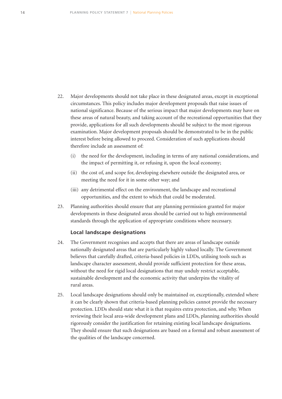- 22. Major developments should not take place in these designated areas, except in exceptional circumstances. This policy includes major development proposals that raise issues of national significance. Because of the serious impact that major developments may have on these areas of natural beauty, and taking account of the recreational opportunities that they provide, applications for all such developments should be subject to the most rigorous examination. Major development proposals should be demonstrated to be in the public interest before being allowed to proceed. Consideration of such applications should therefore include an assessment of:
	- (i) the need for the development, including in terms of any national considerations, and the impact of permitting it, or refusing it, upon the local economy;
	- (ii) the cost of, and scope for, developing elsewhere outside the designated area, or meeting the need for it in some other way; and
	- (iii) any detrimental effect on the environment, the landscape and recreational opportunities, and the extent to which that could be moderated.
- 23. Planning authorities should ensure that any planning permission granted for major developments in these designated areas should be carried out to high environmental standards through the application of appropriate conditions where necessary.

#### **Local landscape designations**

- 24. The Government recognises and accepts that there are areas of landscape outside nationally designated areas that are particularly highly valued locally. The Government believes that carefully drafted, criteria-based policies in LDDs, utilising tools such as landscape character assessment, should provide sufficient protection for these areas, without the need for rigid local designations that may unduly restrict acceptable, sustainable development and the economic activity that underpins the vitality of rural areas.
- 25. Local landscape designations should only be maintained or, exceptionally, extended where it can be clearly shown that criteria-based planning policies cannot provide the necessary protection. LDDs should state what it is that requires extra protection, and why. When reviewing their local area-wide development plans and LDDs, planning authorities should rigorously consider the justification for retaining existing local landscape designations. They should ensure that such designations are based on a formal and robust assessment of the qualities of the landscape concerned.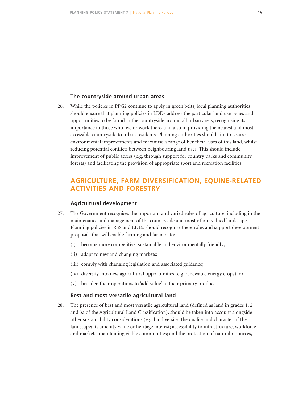## **The countryside around urban areas**

26. While the policies in PPG2 continue to apply in green belts, local planning authorities should ensure that planning policies in LDDs address the particular land use issues and opportunities to be found in the countryside around all urban areas, recognising its importance to those who live or work there, and also in providing the nearest and most accessible countryside to urban residents. Planning authorities should aim to secure environmental improvements and maximise a range of beneficial uses of this land, whilst reducing potential conflicts between neighbouring land uses. This should include improvement of public access (e.g. through support for country parks and community forests) and facilitating the provision of appropriate sport and recreation facilities.

## **AGRICULTURE, FARM DIVERSIFICATION, EQUINE-RELATED ACTIVITIES AND FORESTRY**

#### **Agricultural development**

- 27. The Government recognises the important and varied roles of agriculture, including in the maintenance and management of the countryside and most of our valued landscapes. Planning policies in RSS and LDDs should recognise these roles and support development proposals that will enable farming and farmers to:
	- (i) become more competitive, sustainable and environmentally friendly;
	- (ii) adapt to new and changing markets;
	- (iii) comply with changing legislation and associated guidance;
	- (iv) diversify into new agricultural opportunities (e.g. renewable energy crops); or
	- (v) broaden their operations to 'add value' to their primary produce.

## **Best and most versatile agricultural land**

28. The presence of best and most versatile agricultural land (defined as land in grades 1, 2 and 3a of the Agricultural Land Classification), should be taken into account alongside other sustainability considerations (e.g. biodiversity; the quality and character of the landscape; its amenity value or heritage interest; accessibility to infrastructure, workforce and markets; maintaining viable communities; and the protection of natural resources,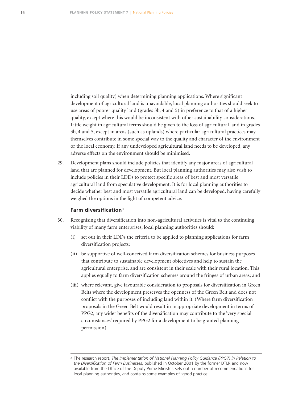including soil quality) when determining planning applications. Where significant development of agricultural land is unavoidable, local planning authorities should seek to use areas of poorer quality land (grades 3b, 4 and 5) in preference to that of a higher quality, except where this would be inconsistent with other sustainability considerations. Little weight in agricultural terms should be given to the loss of agricultural land in grades 3b, 4 and 5, except in areas (such as uplands) where particular agricultural practices may themselves contribute in some special way to the quality and character of the environment or the local economy. If any undeveloped agricultural land needs to be developed, any adverse effects on the environment should be minimised.

29. Development plans should include policies that identify any major areas of agricultural land that are planned for development. But local planning authorities may also wish to include policies in their LDDs to protect specific areas of best and most versatile agricultural land from speculative development. It is for local planning authorities to decide whether best and most versatile agricultural land can be developed, having carefully weighed the options in the light of competent advice.

#### **Farm diversification3**

- 30. Recognising that diversification into non-agricultural activities is vital to the continuing viability of many farm enterprises, local planning authorities should:
	- (i) set out in their LDDs the criteria to be applied to planning applications for farm diversification projects;
	- (ii) be supportive of well-conceived farm diversification schemes for business purposes that contribute to sustainable development objectives and help to sustain the agricultural enterprise, and are consistent in their scale with their rural location. This applies equally to farm diversification schemes around the fringes of urban areas; and
	- (iii) where relevant, give favourable consideration to proposals for diversification in Green Belts where the development preserves the openness of the Green Belt and does not conflict with the purposes of including land within it. (Where farm diversification proposals in the Green Belt would result in inappropriate development in terms of PPG2, any wider benefits of the diversification may contribute to the 'very special circumstances' required by PPG2 for a development to be granted planning permission).

<sup>3</sup> The research report, *The Implementation of National Planning Policy Guidance (PPG7) in Relation to the Diversification of Farm Businesses*, published in October 2001 by the former DTLR and now available from the Office of the Deputy Prime Minister, sets out a number of recommendations for local planning authorities, and contains some examples of 'good practice'.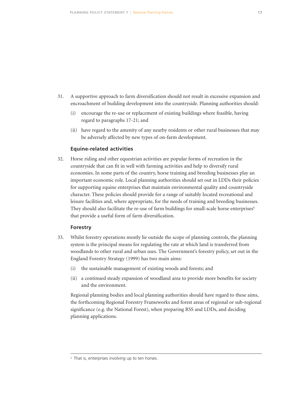- 31. A supportive approach to farm diversification should not result in excessive expansion and encroachment of building development into the countryside. Planning authorities should:
	- (i) encourage the re-use or replacement of existing buildings where feasible, having regard to paragraphs 17-21; and
	- (ii) have regard to the amenity of any nearby residents or other rural businesses that may be adversely affected by new types of on-farm development.

#### **Equine-related activities**

32. Horse riding and other equestrian activities are popular forms of recreation in the countryside that can fit in well with farming activities and help to diversify rural economies. In some parts of the country, horse training and breeding businesses play an important economic role. Local planning authorities should set out in LDDs their policies for supporting equine enterprises that maintain environmental quality and countryside character. These policies should provide for a range of suitably located recreational and leisure facilities and, where appropriate, for the needs of training and breeding businesses. They should also facilitate the re-use of farm buildings for small-scale horse enterprises<sup>4</sup> that provide a useful form of farm diversification.

#### **Forestry**

- 33. Whilst forestry operations mostly lie outside the scope of planning controls, the planning system is the principal means for regulating the rate at which land is transferred from woodlands to other rural and urban uses. The Government's forestry policy, set out in the England Forestry Strategy (1999) has two main aims:
	- (i) the sustainable management of existing woods and forests; and
	- (ii) a continued steady expansion of woodland area to provide more benefits for society and the environment.

Regional planning bodies and local planning authorities should have regard to these aims, the forthcoming Regional Forestry Frameworks and forest areas of regional or sub-regional significance (e.g. the National Forest), when preparing RSS and LDDs, and deciding planning applications.

<sup>&</sup>lt;sup>4</sup> That is, enterprises involving up to ten horses.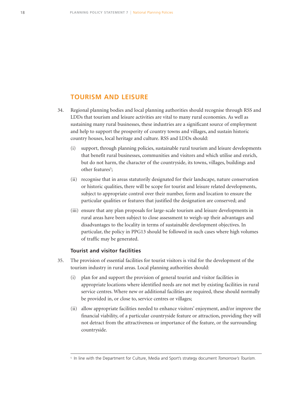## **TOURISM AND LEISURE**

- 34. Regional planning bodies and local planning authorities should recognise through RSS and LDDs that tourism and leisure activities are vital to many rural economies. As well as sustaining many rural businesses, these industries are a significant source of employment and help to support the prosperity of country towns and villages, and sustain historic country houses, local heritage and culture. RSS and LDDs should:
	- (i) support, through planning policies, sustainable rural tourism and leisure developments that benefit rural businesses, communities and visitors and which utilise and enrich, but do not harm, the character of the countryside, its towns, villages, buildings and other features<sup>5</sup>;
	- (ii) recognise that in areas statutorily designated for their landscape, nature conservation or historic qualities, there will be scope for tourist and leisure related developments, subject to appropriate control over their number, form and location to ensure the particular qualities or features that justified the designation are conserved; and
	- (iii) ensure that any plan proposals for large-scale tourism and leisure developments in rural areas have been subject to close assessment to weigh-up their advantages and disadvantages to the locality in terms of sustainable development objectives. In particular, the policy in PPG13 should be followed in such cases where high volumes of traffic may be generated.

#### **Tourist and visitor facilities**

- 35. The provision of essential facilities for tourist visitors is vital for the development of the tourism industry in rural areas. Local planning authorities should:
	- (i) plan for and support the provision of general tourist and visitor facilities in appropriate locations where identified needs are not met by existing facilities in rural service centres. Where new or additional facilities are required, these should normally be provided in, or close to, service centres or villages;
	- (ii) allow appropriate facilities needed to enhance visitors' enjoyment, and/or improve the financial viability, of a particular countryside feature or attraction, providing they will not detract from the attractiveness or importance of the feature, or the surrounding countryside.

<sup>5</sup> In line with the Department for Culture, Media and Sport's strategy document *Tomorrow's Tourism*.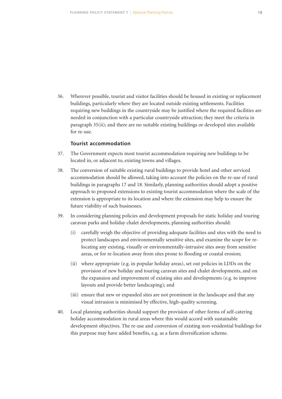36. Wherever possible, tourist and visitor facilities should be housed in existing or replacement buildings, particularly where they are located outside existing settlements. Facilities requiring new buildings in the countryside may be justified where the required facilities are needed in conjunction with a particular countryside attraction; they meet the criteria in paragraph 35(ii); and there are no suitable existing buildings or developed sites available for re-use.

#### **Tourist accommodation**

- 37. The Government expects most tourist accommodation requiring new buildings to be located in, or adjacent to, existing towns and villages.
- 38. The conversion of suitable existing rural buildings to provide hotel and other serviced accommodation should be allowed, taking into account the policies on the re-use of rural buildings in paragraphs 17 and 18. Similarly, planning authorities should adopt a positive approach to proposed extensions to existing tourist accommodation where the scale of the extension is appropriate to its location and where the extension may help to ensure the future viability of such businesses.
- 39. In considering planning policies and development proposals for static holiday and touring caravan parks and holiday chalet developments, planning authorities should:
	- (i) carefully weigh the objective of providing adequate facilities and sites with the need to protect landscapes and environmentally sensitive sites, and examine the scope for relocating any existing, visually or environmentally-intrusive sites away from sensitive areas, or for re-location away from sites prone to flooding or coastal erosion;
	- (ii) where appropriate (e.g. in popular holiday areas), set out policies in LDDs on the provision of new holiday and touring caravan sites and chalet developments, and on the expansion and improvement of existing sites and developments (e.g. to improve layouts and provide better landscaping); and
	- (iii) ensure that new or expanded sites are not prominent in the landscape and that any visual intrusion is minimised by effective, high-quality screening.
- 40. Local planning authorities should support the provision of other forms of self-catering holiday accommodation in rural areas where this would accord with sustainable development objectives. The re-use and conversion of existing non-residential buildings for this purpose may have added benefits, e.g. as a farm diversification scheme.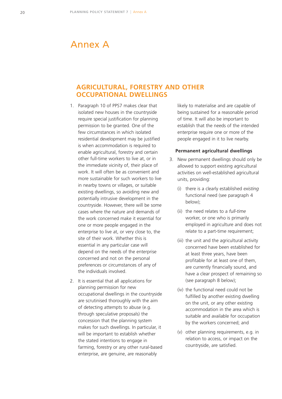## Annex A

## **AGRICULTURAL, FORESTRY AND OTHER OCCUPATIONAL DWELLINGS**

- 1. Paragraph 10 of PPS7 makes clear that isolated new houses in the countryside require special justification for planning permission to be granted. One of the few circumstances in which isolated residential development may be justified is when accommodation is required to enable agricultural, forestry and certain other full-time workers to live at, or in the immediate vicinity of, their place of work. It will often be as convenient and more sustainable for such workers to live in nearby towns or villages, or suitable existing dwellings, so avoiding new and potentially intrusive development in the countryside. However, there will be some cases where the nature and demands of the work concerned make it essential for one or more people engaged in the enterprise to live at, or very close to, the site of their work. Whether this is essential in any particular case will depend on the needs of the enterprise concerned and not on the personal preferences or circumstances of any of the individuals involved.
- 2. It is essential that all applications for planning permission for new occupational dwellings in the countryside are scrutinised thoroughly with the aim of detecting attempts to abuse (e.g. through speculative proposals) the concession that the planning system makes for such dwellings. In particular, it will be important to establish whether the stated intentions to engage in farming, forestry or any other rural-based enterprise, are genuine, are reasonably

likely to materialise and are capable of being sustained for a reasonable period of time. It will also be important to establish that the needs of the intended enterprise require one or more of the people engaged in it to live nearby.

#### **Permanent agricultural dwellings**

- 3. New permanent dwellings should only be allowed to support existing agricultural activities on well-established agricultural units, providing:
	- (i) there is a clearly established *existing* functional need (see paragraph 4 below);
	- (ii) the need relates to a *full-time* worker, or one who is primarily employed in agriculture and does not relate to a part-time requirement;
	- (iii) the unit and the agricultural activity concerned have been established for at least three years, have been profitable for at least one of them, are currently financially sound, and have a clear prospect of remaining so (see paragraph 8 below);
	- (iv) the functional need could not be fulfilled by another existing dwelling on the unit, or any other existing accommodation in the area which is suitable and available for occupation by the workers concerned; and
	- (v) other planning requirements, e.g. in relation to access, or impact on the countryside, are satisfied.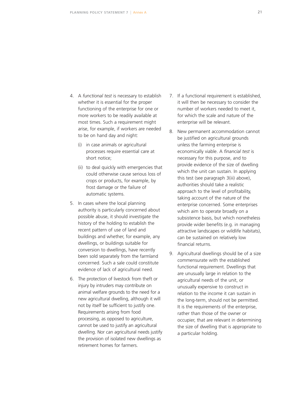- 4. A *functional test* is necessary to establish whether it is essential for the proper functioning of the enterprise for one or more workers to be readily available at most times. Such a requirement might arise, for example, if workers are needed to be on hand day and night:
	- (i) in case animals or agricultural processes require essential care at short notice;
	- (ii) to deal quickly with emergencies that could otherwise cause serious loss of crops or products, for example, by frost damage or the failure of automatic systems.
- 5. In cases where the local planning authority is particularly concerned about possible abuse, it should investigate the history of the holding to establish the recent pattern of use of land and buildings and whether, for example, any dwellings, or buildings suitable for conversion to dwellings, have recently been sold separately from the farmland concerned. Such a sale could constitute evidence of lack of agricultural need.
- 6. The protection of livestock from theft or injury by intruders may contribute on animal welfare grounds to the need for a new agricultural dwelling, although it will not by itself be sufficient to justify one. Requirements arising from food processing, as opposed to agriculture, cannot be used to justify an agricultural dwelling. Nor can agricultural needs justify the provision of isolated new dwellings as retirement homes for farmers.
- 7. If a functional requirement is established, it will then be necessary to consider the number of workers needed to meet it, for which the scale and nature of the enterprise will be relevant.
- 8. New permanent accommodation cannot be justified on agricultural grounds unless the farming enterprise is economically viable. A *financial test* is necessary for this purpose, and to provide evidence of the size of dwelling which the unit can sustain. In applying this test (see paragraph 3(iii) above), authorities should take a realistic approach to the level of profitability, taking account of the nature of the enterprise concerned. Some enterprises which aim to operate broadly on a subsistence basis, but which nonetheless provide wider benefits (e.g. in managing attractive landscapes or wildlife habitats), can be sustained on relatively low financial returns.
- 9. Agricultural dwellings should be of a size commensurate with the established functional requirement. Dwellings that are unusually large in relation to the agricultural needs of the unit, or unusually expensive to construct in relation to the income it can sustain in the long-term, should not be permitted. It is the requirements of the enterprise, rather than those of the owner or occupier, that are relevant in determining the size of dwelling that is appropriate to a particular holding.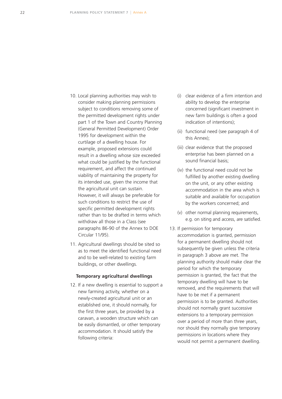- 10. Local planning authorities may wish to consider making planning permissions subject to conditions removing some of the permitted development rights under part 1 of the Town and Country Planning (General Permitted Development) Order 1995 for development within the curtilage of a dwelling house. For example, proposed extensions could result in a dwelling whose size exceeded what could be justified by the functional requirement, and affect the continued viability of maintaining the property for its intended use, given the income that the agricultural unit can sustain. However, it will always be preferable for such conditions to restrict the use of specific permitted development rights rather than to be drafted in terms which withdraw all those in a Class (see paragraphs 86-90 of the Annex to DOE Circular 11/95).
- 11. Agricultural dwellings should be sited so as to meet the identified functional need and to be well-related to existing farm buildings, or other dwellings.

#### **Temporary agricultural dwellings**

12. If a new dwelling is essential to support a new farming activity, whether on a newly-created agricultural unit or an established one, it should normally, for the first three years, be provided by a caravan, a wooden structure which can be easily dismantled, or other temporary accommodation. It should satisfy the following criteria:

- (i) clear evidence of a firm intention and ability to develop the enterprise concerned (significant investment in new farm buildings is often a good indication of intentions);
- (ii) functional need (see paragraph 4 of this Annex);
- (iii) clear evidence that the proposed enterprise has been planned on a sound financial basis;
- (iv) the functional need could not be fulfilled by another existing dwelling on the unit, or any other existing accommodation in the area which is suitable and available for occupation by the workers concerned; and
- (v) other normal planning requirements, e.g. on siting and access, are satisfied.
- 13. If permission for temporary accommodation is granted, permission for a permanent dwelling should not subsequently be given unless the criteria in paragraph 3 above are met. The planning authority should make clear the period for which the temporary permission is granted, the fact that the temporary dwelling will have to be removed, and the requirements that will have to be met if a permanent permission is to be granted. Authorities should not normally grant successive extensions to a temporary permission over a period of more than three years, nor should they normally give temporary permissions in locations where they would not permit a permanent dwelling.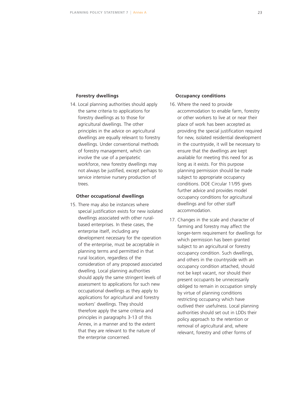#### **Forestry dwellings**

14. Local planning authorities should apply the same criteria to applications for forestry dwellings as to those for agricultural dwellings. The other principles in the advice on agricultural dwellings are equally relevant to forestry dwellings. Under conventional methods of forestry management, which can involve the use of a peripatetic workforce, new forestry dwellings may not always be justified, except perhaps to service intensive nursery production of trees.

#### **Other occupational dwellings**

15. There may also be instances where special justification exists for new isolated dwellings associated with other ruralbased enterprises. In these cases, the enterprise itself, including any development necessary for the operation of the enterprise, must be acceptable in planning terms and permitted in that rural location, regardless of the consideration of any proposed associated dwelling. Local planning authorities should apply the same stringent levels of assessment to applications for such new occupational dwellings as they apply to applications for agricultural and forestry workers' dwellings. They should therefore apply the same criteria and principles in paragraphs 3-13 of this Annex, in a manner and to the extent that they are relevant to the nature of the enterprise concerned.

#### **Occupancy conditions**

- 16. Where the need to provide accommodation to enable farm, forestry or other workers to live at or near their place of work has been accepted as providing the special justification required for new, isolated residential development in the countryside, it will be necessary to ensure that the dwellings are kept available for meeting this need for as long as it exists. For this purpose planning permission should be made subject to appropriate occupancy conditions. DOE Circular 11/95 gives further advice and provides model occupancy conditions for agricultural dwellings and for other staff accommodation.
- 17. Changes in the scale and character of farming and forestry may affect the longer-term requirement for dwellings for which permission has been granted subject to an agricultural or forestry occupancy condition. Such dwellings, and others in the countryside with an occupancy condition attached, should not be kept vacant, nor should their present occupants be unnecessarily obliged to remain in occupation simply by virtue of planning conditions restricting occupancy which have outlived their usefulness. Local planning authorities should set out in LDDs their policy approach to the retention or removal of agricultural and, where relevant, forestry and other forms of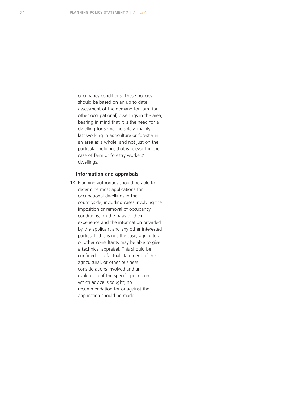occupancy conditions. These policies should be based on an up to date assessment of the demand for farm (or other occupational) dwellings in the area, bearing in mind that it is the need for a dwelling for someone solely, mainly or last working in agriculture or forestry in an area as a whole, and not just on the particular holding, that is relevant in the case of farm or forestry workers' dwellings.

#### **Information and appraisals**

18. Planning authorities should be able to determine most applications for occupational dwellings in the countryside, including cases involving the imposition or removal of occupancy conditions, on the basis of their experience and the information provided by the applicant and any other interested parties. If this is not the case, agricultural or other consultants may be able to give a technical appraisal. This should be confined to a factual statement of the agricultural, or other business considerations involved and an evaluation of the specific points on which advice is sought; no recommendation for or against the application should be made.